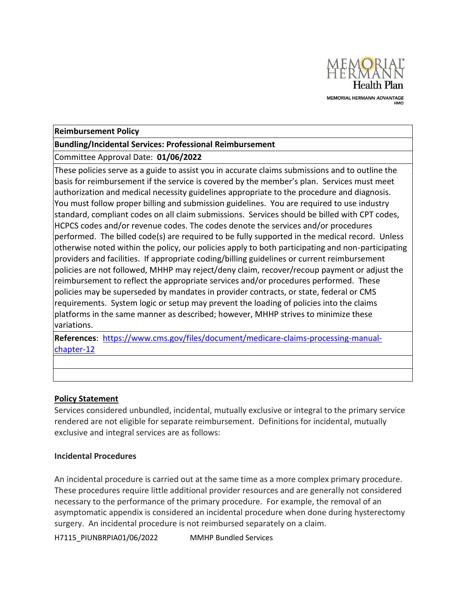

#### **Reimbursement Policy**

#### **Bundling/Incidental Services: Professional Reimbursement**

Committee Approval Date: **01/06/2022**

These policies serve as a guide to assist you in accurate claims submissions and to outline the basis for reimbursement if the service is covered by the member's plan. Services must meet authorization and medical necessity guidelines appropriate to the procedure and diagnosis. You must follow proper billing and submission guidelines. You are required to use industry standard, compliant codes on all claim submissions. Services should be billed with CPT codes, HCPCS codes and/or revenue codes. The codes denote the services and/or procedures performed. The billed code(s) are required to be fully supported in the medical record. Unless otherwise noted within the policy, our policies apply to both participating and non-participating providers and facilities. If appropriate coding/billing guidelines or current reimbursement policies are not followed, MHHP may reject/deny claim, recover/recoup payment or adjust the reimbursement to reflect the appropriate services and/or procedures performed. These policies may be superseded by mandates in provider contracts, or state, federal or CMS requirements. System logic or setup may prevent the loading of policies into the claims platforms in the same manner as described; however, MHHP strives to minimize these variations.

**References**: [https://www.cms.gov/files/document/medicare-claims-processing-manual](https://www.cms.gov/files/document/medicare-claims-processing-manual-chapter-12)[chapter-12](https://www.cms.gov/files/document/medicare-claims-processing-manual-chapter-12)

### **Policy Statement**

Services considered unbundled, incidental, mutually exclusive or integral to the primary service rendered are not eligible for separate reimbursement. Definitions for incidental, mutually exclusive and integral services are as follows:

### **Incidental Procedures**

An incidental procedure is carried out at the same time as a more complex primary procedure. These procedures require little additional provider resources and are generally not considered necessary to the performance of the primary procedure. For example, the removal of an asymptomatic appendix is considered an incidental procedure when done during hysterectomy surgery. An incidental procedure is not reimbursed separately on a claim.

H7115 PIUNBRPIA01/06/2022 MMHP Bundled Services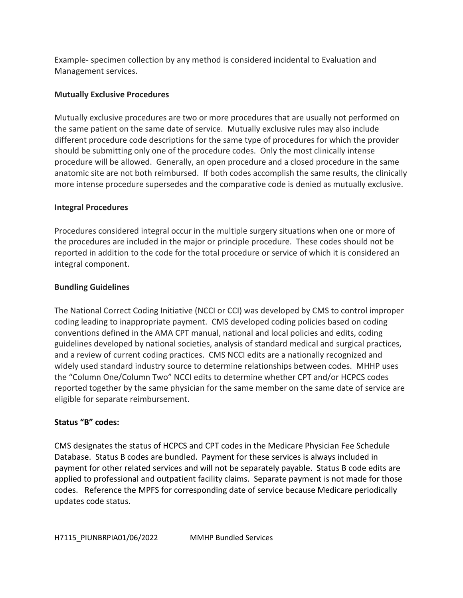Example- specimen collection by any method is considered incidental to Evaluation and Management services.

## **Mutually Exclusive Procedures**

Mutually exclusive procedures are two or more procedures that are usually not performed on the same patient on the same date of service. Mutually exclusive rules may also include different procedure code descriptions for the same type of procedures for which the provider should be submitting only one of the procedure codes. Only the most clinically intense procedure will be allowed. Generally, an open procedure and a closed procedure in the same anatomic site are not both reimbursed. If both codes accomplish the same results, the clinically more intense procedure supersedes and the comparative code is denied as mutually exclusive.

## **Integral Procedures**

Procedures considered integral occur in the multiple surgery situations when one or more of the procedures are included in the major or principle procedure. These codes should not be reported in addition to the code for the total procedure or service of which it is considered an integral component.

## **Bundling Guidelines**

The National Correct Coding Initiative (NCCI or CCI) was developed by CMS to control improper coding leading to inappropriate payment. CMS developed coding policies based on coding conventions defined in the AMA CPT manual, national and local policies and edits, coding guidelines developed by national societies, analysis of standard medical and surgical practices, and a review of current coding practices. CMS NCCI edits are a nationally recognized and widely used standard industry source to determine relationships between codes. MHHP uses the "Column One/Column Two" NCCI edits to determine whether CPT and/or HCPCS codes reported together by the same physician for the same member on the same date of service are eligible for separate reimbursement.

# **Status "B" codes:**

CMS designates the status of HCPCS and CPT codes in the Medicare Physician Fee Schedule Database. Status B codes are bundled. Payment for these services is always included in payment for other related services and will not be separately payable. Status B code edits are applied to professional and outpatient facility claims. Separate payment is not made for those codes. Reference the MPFS for corresponding date of service because Medicare periodically updates code status.